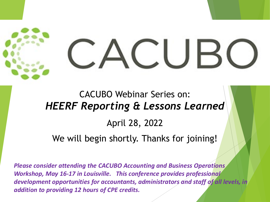# $\Box$

### CACUBO Webinar Series on: *HEERF Reporting & Lessons Learned* April 28, 2022

We will begin shortly. Thanks for joining!

*Please consider attending the CACUBO Accounting and Business Operations Workshop, May 16-17 in Louisville. This conference provides professional development opportunities for accountants, administrators and staff of all levels, in addition to providing 12 hours of CPE credits.*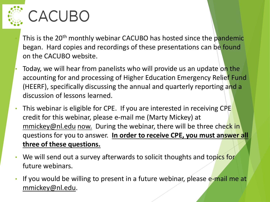

## CACUBO

- This is the 20<sup>th</sup> monthly webinar CACUBO has hosted since the pandemic began. Hard copies and recordings of these presentations can be found on the CACUBO website.
- Today, we will hear from panelists who will provide us an update on the accounting for and processing of Higher Education Emergency Relief Fund (HEERF), specifically discussing the annual and quarterly reporting and a discussion of lessons learned.
- This webinar is eligible for CPE. If you are interested in receiving CPE credit for this webinar, please e-mail me (Marty Mickey) at [mmickey@nl.edu](mailto:mmickey@nl.edu) now. During the webinar, there will be three check in questions for you to answer. **In order to receive CPE, you must answer all three of these questions.**
- We will send out a survey afterwards to solicit thoughts and topics for future webinars.
- If you would be willing to present in a future webinar, please e-mail me at [mmickey@nl.edu](mailto:mmickey@nl.edu).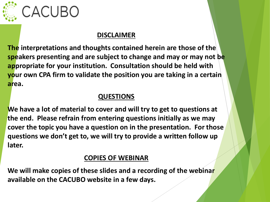

### CACUBO

#### **DISCLAIMER**

**The interpretations and thoughts contained herein are those of the speakers presenting and are subject to change and may or may not be appropriate for your institution. Consultation should be held with your own CPA firm to validate the position you are taking in a certain area.**

#### **QUESTIONS**

**We have a lot of material to cover and will try to get to questions at the end. Please refrain from entering questions initially as we may cover the topic you have a question on in the presentation. For those questions we don't get to, we will try to provide a written follow up later.**

#### **COPIES OF WEBINAR**

**We will make copies of these slides and a recording of the webinar available on the CACUBO website in a few days.**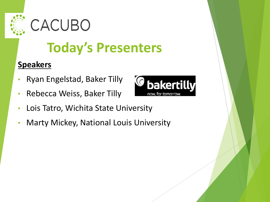



### **Today's Presenters**

#### **Speakers**

- Ryan Engelstad, Baker Tilly
- Rebecca Weiss, Baker Tilly



- Lois Tatro, Wichita State University
- Marty Mickey, National Louis University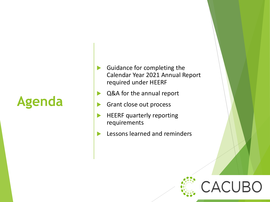### **Agenda**

- Guidance for completing the Calendar Year 2021 Annual Report required under HEERF
- ▶ Q&A for the annual report
- Grant close out process
- HEERF quarterly reporting requirements
- Lessons learned and reminders

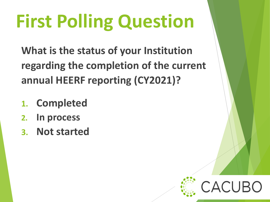# **First Polling Question**

**What is the status of your Institution regarding the completion of the current annual HEERF reporting (CY2021)?**

- **1. Completed**
- **2. In process**
- **3. Not started**

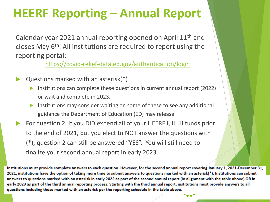### **HEERF Reporting – Annual Report**

Calendar year 2021 annual reporting opened on April 11th and closes May 6<sup>th</sup>. All institutions are required to report using the reporting portal:

<https://covid-relief-data.ed.gov/authentication/login>

- Questions marked with an asterisk(\*)
	- Institutions can complete these questions in current annual report (2022) or wait and complete in 2023.
	- Institutions may consider waiting on some of these to see any additional guidance the Department of Education (ED) may release
- For question 2, if you DID expend all of your HEERF I, II, III funds prior to the end of 2021, but you elect to NOT answer the questions with (\*), question 2 can still be answered "YES". You will still need to finalize your second annual report in early 2023.

Institutions must provide complete answers to each question. However, for the second annual report covering January 1, 2021-December 31, 2021, institutions have the option of taking more time to submit answers to questions marked with an asterisk(\*). Institutions can submit answers to questions marked with an asterisk in early 2022 as part of the second annual report (in alignment with the table above) OR in early 2023 as part of the third annual reporting process. Starting with the third annual report, institutions must provide answers to all guestions including those marked with an asterisk per the reporting schedule in the table above.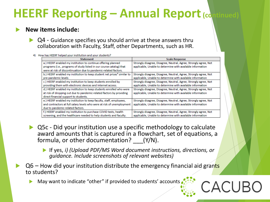#### **New items include:**

 Q4 - Guidance specifies you should arrive at these answers thru collaboration with Faculty, Staff, other Departments, such as HR.

#### 4) How has HEERF helped your institution and your students?

| <b>Statement</b>                                                                    | <b>Scale Response</b>                                            |
|-------------------------------------------------------------------------------------|------------------------------------------------------------------|
| a.) HEERF enabled my institution to continue offering planned                       | Strongly disagree, Disagree, Neutral, Agree, Strongly agree, Not |
| programs (i.e., programs of study listed in our course catalog) that                | applicable, Unable to determine with available information       |
| were at risk of discontinuation due to pandemic-related factors.                    |                                                                  |
| b.) HEERF enabled my institution to keep student net prices <sup>4</sup> similar to | Strongly disagree, Disagree, Neutral, Agree, Strongly agree, Not |
| pre-pandemic levels                                                                 | applicable, Unable to determine with available information       |
| c.) HEERF enabled my institution to keep students enrolled by                       | Strongly disagree, Disagree, Neutral, Agree, Strongly agree, Not |
| providing them with electronic devices and Internet access.                         | applicable, Unable to determine with available information       |
| d.) HEERF enabled my institution to keep students enrolled who were                 | Strongly disagree, Disagree, Neutral, Agree, Strongly agree, Not |
| at risk of dropping out due to pandemic-related factors by providing                | applicable, Unable to determine with available information       |
| direct financial support to students.                                               |                                                                  |
| e.) HEERF enabled my institution to keep faculty, staff, employees,                 | Strongly disagree, Disagree, Neutral, Agree, Strongly agree, Not |
| and contractors at full salary levels who were at risk of unemployment              | applicable, Unable to determine with available information       |
| due to pandemic-related factors.                                                    |                                                                  |
| f.) HEERF enabled my institution to purchase COVID tests, health                    | Strongly disagree, Disagree, Neutral, Agree, Strongly agree, Not |
| screening, and the healthcare needed to help students and faculty.                  | applicable, Unable to determine with available information       |
|                                                                                     |                                                                  |

- Q5c Did your institution use a specific methodology to calculate award amounts that is captured in a flowchart, set of equations, a formula, or other documentation? (Y/N).
	- If yes, *i) (Upload PDF/MS Word document instructions, directions, or guidance. Include screenshots of relevant websites)*
- $Q6$  How did your institution distribute the emergency financial aid grants to students?
	- May want to indicate "other" if provided to students' accounts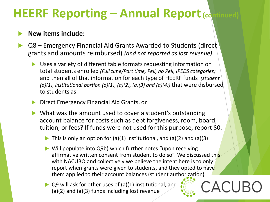#### **New items include:**

- Q8 Emergency Financial Aid Grants Awarded to Students (direct grants and amounts reimbursed) *(and not reported as lost revenue)*
	- Uses a variety of different table formats requesting information on total students enrolled *(Full time/Part time, Pell, no Pell, IPEDS categories)* and then all of that information for each type of HEERF funds *(student*   $(a)(1)$ , institutional portion  $(a)(1)$ ,  $(a)(2)$ ,  $(a)(3)$  and  $(a)(4)$ ) that were disbursed to students as:
	- Direct Emergency Financial Aid Grants, or
	- What was the amount used to cover a student's outstanding account balance for costs such as debt forgiveness, room, board, tuition, or fees? If funds were not used for this purpose, report \$0.
		- $\triangleright$  This is only an option for (a)(1) institutional, and (a)(2) and (a)(3)
		- ▶ Will populate into Q9b) which further notes "upon receiving affirmative written consent from student to do so". We discussed this with NACUBO and collectively we believe the intent here is to only report when grants were given to students, and they opted to have them applied to their account balances (student authorization)

ACUF

▶ Q9 will ask for other uses of (a)(1) institutional, and (a)(2) and (a)(3) funds including lost revenue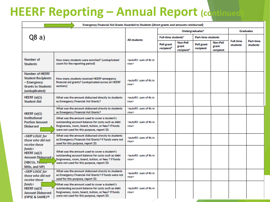|                                                                                                                   | Emergency Financial Aid Grants Awarded to Students (direct grants and amounts reimbursed)                                                                                                                   |                                                            |                                      |                                                    |                                |                                       |                                     |                                     |
|-------------------------------------------------------------------------------------------------------------------|-------------------------------------------------------------------------------------------------------------------------------------------------------------------------------------------------------------|------------------------------------------------------------|--------------------------------------|----------------------------------------------------|--------------------------------|---------------------------------------|-------------------------------------|-------------------------------------|
|                                                                                                                   |                                                                                                                                                                                                             |                                                            | Undergraduates <sup>6</sup>          |                                                    |                                | <b>Graduates</b>                      |                                     |                                     |
| Q8a)                                                                                                              |                                                                                                                                                                                                             | <b>All students</b>                                        | Full-time students <sup>7</sup>      |                                                    | <b>Part-time students</b>      |                                       |                                     |                                     |
|                                                                                                                   |                                                                                                                                                                                                             |                                                            | Pell grant<br>recipient <sup>8</sup> | <b>Non-Pell</b><br>grant<br>recipient <sup>9</sup> | <b>Pell grant</b><br>recipient | <b>Non-Pell</b><br>grant<br>recipient | <b>Full-time</b><br><b>students</b> | <b>Part-time</b><br><b>students</b> |
| Number of<br><b>Students</b>                                                                                      | How many students were enrolled? (unduplicated<br>count for the reporting period)                                                                                                                           | <autofill: #s="" in<br="" of="" sum="">row&gt;</autofill:> |                                      |                                                    |                                |                                       |                                     |                                     |
| <b>Number of HEERF</b><br><b>Student Recipients</b><br>– Emergency<br><b>Grants to Students</b><br>(unduplicated) | How many students received HEERF emergency<br>financial aid grants? (unduplicated across all HEERF<br>sections)                                                                                             | <autofill: #s="" in<br="" of="" sum="">row&gt;</autofill:> |                                      |                                                    |                                |                                       |                                     |                                     |
| HEERF $(a)(1)$<br><b>Student Aid</b>                                                                              | What was the amount disbursed directly to students<br>as Emergency Financial Aid Grants?                                                                                                                    | <autofill: #s="" in<br="" of="" sum="">row&gt;</autofill:> |                                      |                                                    |                                |                                       |                                     |                                     |
| HEERF $(a)(1)$                                                                                                    | What was the amount disbursed directly to students<br>as Emergency Financial Aid Grants?                                                                                                                    | <autofill: #s="" in<br="" of="" sum="">row&gt;</autofill:> |                                      |                                                    |                                |                                       |                                     |                                     |
| Institutional<br><b>Portion Amount</b><br>Disbursed                                                               | What was the amount used to cover a student's<br>outstanding account balance for costs such as debt<br>forgiveness, room, board, tuition, or fees? If funds<br>were not used for this purpose, report \$0.  | <autofill: #s="" in<br="" of="" sum="">row&gt;</autofill:> |                                      |                                                    |                                |                                       |                                     |                                     |
| <skip for<br="" logic="">those who did not<br/>receive these</skip>                                               | What was the amount disbursed directly to students<br>as Emergency Financial Aid Grants? If funds were not<br>used for this purpose, report \$0.                                                            | <autofill: #s="" in<br="" of="" sum="">row&gt;</autofill:> |                                      |                                                    |                                |                                       |                                     |                                     |
| funds><br>HEERF $(a)(2)$<br><b>Amount Disbursed N</b><br>(HBCUs, TCcos)<br>MSIs, and SIP)                         | What was the amount used to cover a student's<br>outstanding account balance for costs such as debt<br>forgiveness, room, board, tuition, or fees ? If funds<br>were not used for this purpose, report \$0. | <autofill: #s="" in<br="" of="" sum="">row&gt;</autofill:> |                                      |                                                    |                                |                                       |                                     |                                     |
| <skip for<br="" logic="">those who did not<br/>receive these</skip>                                               | What was the amount disbursed directly to students<br>as Emergency Financial Aid Grants? If funds were not<br>used for this purpose, report \$0.                                                            | <autofill: #s="" in<br="" of="" sum="">row&gt;</autofill:> |                                      |                                                    |                                |                                       |                                     |                                     |
| funds<br>HEERF $(a)(3)$<br><b>Amount Disbursed</b><br>(FIPSE & SAIHE)10                                           | What was the amount used to cover a student's<br>outstanding account balance for costs such as debt<br>forgiveness, room, board, tuition, or fees? If funds<br>were not used for this purpose, report \$0.  | <autofill: #s="" in<br="" of="" sum="">row&gt;</autofill:> |                                      |                                                    |                                |                                       |                                     |                                     |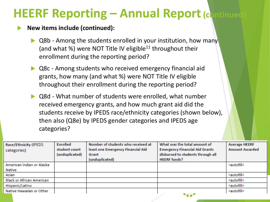#### **New items include (continued):**

- Q8b Among the students enrolled in your institution, how many (and what %) were NOT Title IV eligible<sup>11</sup> throughout their enrollment during the reporting period?
- ▶ Q8c Among students who received emergency financial aid grants, how many (and what %) were NOT Title IV eligible throughout their enrollment during the reporting period?
- Q8d What number of students were enrolled, what number received emergency grants, and how much grant aid did the students receive by IPEDS race/ethnicity categories (shown below), then also (Q8e) by IPEDS gender categories and IPEDS age categories?

| Race/Ethnicity (IPEDS            | Enrolled       | Number of students who received at | What was the total amount of          | <b>Average HEERF</b>  |
|----------------------------------|----------------|------------------------------------|---------------------------------------|-----------------------|
| categories)                      | student count  | least one Emergency Financial Aid  | <b>Emergency Financial Aid Grants</b> | <b>Amount Awarded</b> |
|                                  | (unduplicated) | Grant                              | disbursed to students through all     |                       |
|                                  |                | (unduplicated)                     | <b>HEERF</b> funds?                   |                       |
| American Indian or Alaska        |                |                                    |                                       | <autofill></autofill> |
| Native                           |                |                                    |                                       |                       |
| Asian                            |                |                                    |                                       | <autofill></autofill> |
| <b>Black or African American</b> |                |                                    |                                       | <autofill></autofill> |
| Hispanic/Latino                  |                |                                    |                                       | <autofill></autofill> |
| Native Hawaiian or Other         |                |                                    |                                       | <autofill></autofill> |
|                                  |                |                                    | 9210                                  |                       |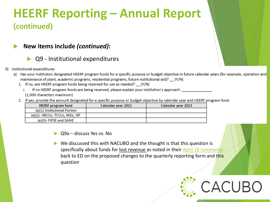- **New items include** *(continued):* 
	- Q9 Institutional expenditures
- 9) Institutional expenditures
	- a) Has your institution designated HEERF program funds for a specific purpose or budget objective in future calendar years (for example, operation and maintenance of plant, academic programs, residential programs, future institutional aid)? (Y/N)
		- 1. If no, are HEERF program funds being reserved for use as needed? (Y/N)
			- If no HEERF program funds are being reserved, please explain your institution's approach: Ĩ. (1,000 characters maximum)
		- 2. If yes, provide the amount designated for a specific purpose or budget objective by calendar year and HEERF program fund:

| <b>HEERF</b> program fund      | Calendar year 2022 | Calendar year 2023 |
|--------------------------------|--------------------|--------------------|
| (a)(1) Institutional Portion   |                    |                    |
| (a)(2)-HBCUs, TCCUs, MSIs, SIP |                    |                    |
| (a)(3)- FIPSE and SAIHE        |                    |                    |

▶ Q9a – discuss Yes vs. No

 $\triangleright$  We discussed this with NACUBO and the thought is that this question is specifically about funds for lost revenue as noted in their [April 18 comments](https://www.nacubo.org/News/2022/4/NACUBO-Recommends-Improvements-to-HEERF-Quarterly-Reporting)  back to ED on the proposed changes to the quarterly reporting form and this question

ACUI: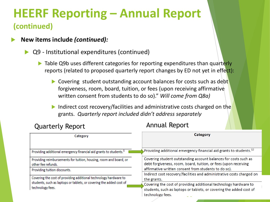#### **New items include** *(continued):*

#### Q9 - Institutional expenditures (continued)

- Table Q9b uses different categories for reporting expenditures than quarterly reports (related to proposed quarterly report changes by ED not yet in effect):
	- Covering student outstanding account balances for costs such as debt forgiveness, room, board, tuition, or fees (upon receiving affirmative written consent from students to do so)." *Will come from Q8a)*
	- Indirect cost recovery/facilities and administrative costs charged on the grants. *Quarterly report included didn't address separately*

| <b>Quarterly Report</b>                                                                                                                                     | <b>Annual Report</b>                                                                                                                                                       |  |  |  |
|-------------------------------------------------------------------------------------------------------------------------------------------------------------|----------------------------------------------------------------------------------------------------------------------------------------------------------------------------|--|--|--|
| Category                                                                                                                                                    | Category                                                                                                                                                                   |  |  |  |
| Providing additional emergency financial aid grants to students. <sup>1</sup>                                                                               | Providing additional emergency financial aid grants to students. <sup>13</sup>                                                                                             |  |  |  |
| Providing reimbursements for tuition, housing, room and board, or<br>other fee refunds.                                                                     | Covering student outstanding account balances for costs such as<br>debt forgiveness, room, board, tuition, or fees (upon receiving                                         |  |  |  |
| Providing tuition discounts.                                                                                                                                | affirmative written consent from students to do so).<br>Indirect cost recovery/facilities and administrative costs charged on                                              |  |  |  |
| Covering the cost of providing additional technology hardware to<br>students, such as laptops or tablets, or covering the added cost of<br>technology fees. | the grants.<br>Covering the cost of providing additional technology hardware to<br>students, such as laptops or tablets, or covering the added cost of<br>technology fees. |  |  |  |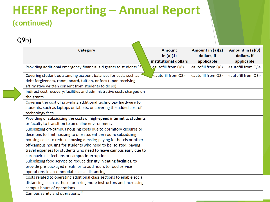Q9b)

| Category                                                                                                                                                                                                                                                                                                                                                                                                | <b>Amount</b><br>in $(a)(1)$<br>institutional dollars | Amount in (a)(2)<br>dollars, if<br>applicable | Amount in (a)(3)<br>dollars, if<br>applicable |
|---------------------------------------------------------------------------------------------------------------------------------------------------------------------------------------------------------------------------------------------------------------------------------------------------------------------------------------------------------------------------------------------------------|-------------------------------------------------------|-----------------------------------------------|-----------------------------------------------|
| Providing additional emergency financial aid grants to students. <sup>13</sup>                                                                                                                                                                                                                                                                                                                          | <autofill from="" q8=""></autofill>                   | <autofill from="" q8=""></autofill>           | <autofill from="" q8=""></autofill>           |
| Covering student outstanding account balances for costs such as<br>debt forgiveness, room, board, tuition, or fees (upon receiving<br>affirmative written consent from students to do so).                                                                                                                                                                                                              | <autofill from="" q8=""></autofill>                   | <autofill from="" q8=""></autofill>           | <autofill from="" q8=""></autofill>           |
| Indirect cost recovery/facilities and administrative costs charged on<br>the grants.                                                                                                                                                                                                                                                                                                                    |                                                       |                                               |                                               |
| Covering the cost of providing additional technology hardware to<br>students, such as laptops or tablets, or covering the added cost of<br>technology fees.                                                                                                                                                                                                                                             |                                                       |                                               |                                               |
| Providing or subsidizing the costs of high-speed internet to students<br>or faculty to transition to an online environment.                                                                                                                                                                                                                                                                             |                                                       |                                               |                                               |
| Subsidizing off-campus housing costs due to dormitory closures or<br>decisions to limit housing to one student per room; subsidizing<br>housing costs to reduce housing density; paying for hotels or other<br>off-campus housing for students who need to be isolated; paying<br>travel expenses for students who need to leave campus early due to<br>coronavirus infections or campus interruptions. |                                                       |                                               |                                               |
| Subsidizing food service to reduce density in eating facilities, to<br>provide pre-packaged meals, or to add hours to food service<br>operations to accommodate social distancing.                                                                                                                                                                                                                      |                                                       |                                               |                                               |
| Costs related to operating additional class sections to enable social<br>distancing, such as those for hiring more instructors and increasing<br>campus hours of operations.                                                                                                                                                                                                                            |                                                       |                                               |                                               |
| Campus safety and operations. <sup>14</sup>                                                                                                                                                                                                                                                                                                                                                             |                                                       |                                               |                                               |

 $\blacktriangleleft$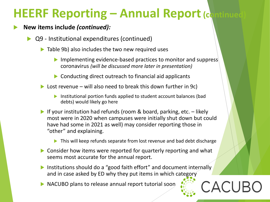#### **New items include** *(continued):*

- Q9 Institutional expenditures (continued)
	- $\triangleright$  Table 9b) also includes the two new required uses
		- $\triangleright$  Implementing evidence-based practices to monitor and suppress coronavirus *(will be discussed more later in presentation)*
		- ▶ Conducting direct outreach to financial aid applicants
	- $\triangleright$  Lost revenue will also need to break this down further in 9c)
		- Institutional portion funds applied to student account balances (bad debts) would likely go here
	- If your institution had refunds (room  $\&$  board, parking, etc.  $-$  likely most were in 2020 when campuses were initially shut down but could have had some in 2021 as well) may consider reporting those in "other" and explaining.
		- ▶ This will keep refunds separate from lost revenue and bad debt discharge

CACUI

- ▶ Consider how items were reported for quarterly reporting and what seems most accurate for the annual report.
- **Institutions should do a "good faith effort" and document internally** and in case asked by ED why they put items in which category
- NACUBO plans to release annual report tutorial soon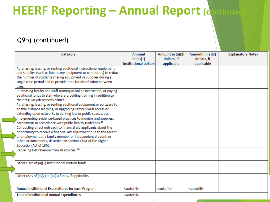#### Q9b) (continued)

| Category                                                                                                                                                                                                                                                                                        | Amount<br>in $(a)(1)$<br>institutional dollars | Amount in (a)(2)<br>dollars, if<br>applicable | Amount in (a)(3)<br>dollars, if<br>applicable | <b>Explanatory Notes</b> |
|-------------------------------------------------------------------------------------------------------------------------------------------------------------------------------------------------------------------------------------------------------------------------------------------------|------------------------------------------------|-----------------------------------------------|-----------------------------------------------|--------------------------|
| Purchasing, leasing, or renting additional instructional equipment<br>and supplies (such as laboratory equipment or computers) to reduce<br>the number of students sharing equipment or supplies during a<br>single class period and to provide time for disinfection between                   |                                                |                                               |                                               |                          |
| uses.                                                                                                                                                                                                                                                                                           |                                                |                                               |                                               |                          |
| Purchasing faculty and staff training in online instruction; or paying<br>additional funds to staff who are providing training in addition to<br>their regular job responsibilities.                                                                                                            |                                                |                                               |                                               |                          |
| Purchasing, leasing, or renting additional equipment or software to<br>enable distance learning, or upgrading campus wi-fi access or<br>extending open networks to parking lots or public spaces, etc.                                                                                          |                                                |                                               |                                               |                          |
| Implementing evidence-based practices to monitor and suppress<br>coronavirus in accordance with public health guidelines. <sup>15</sup>                                                                                                                                                         |                                                |                                               |                                               |                          |
| Conducting direct outreach to financial aid applicants about the<br>opportunity to receive a financial aid adjustment due to the recent<br>unemployment of a family member or independent student, or<br>other circumstances, described in section 479A of the Higher<br>Education Act of 1965. |                                                |                                               |                                               |                          |
| Replacing lost revenue from all sources. 16                                                                                                                                                                                                                                                     |                                                |                                               |                                               |                          |
| Other Uses of (a)(1) Institutional Portion funds.                                                                                                                                                                                                                                               |                                                |                                               |                                               |                          |
| Other uses of (a)(2) or (a)(3) funds, if applicable.                                                                                                                                                                                                                                            |                                                |                                               |                                               |                          |
| Annual Institutional Expenditures for each Program                                                                                                                                                                                                                                              | <autofill></autofill>                          | <autofill></autofill>                         | <autofill></autofill>                         |                          |
| <b>Total of Institutional Annual Expenditures</b>                                                                                                                                                                                                                                               | <autofill></autofill>                          |                                               |                                               |                          |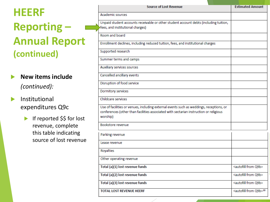- **New items include**  *(continued):*
- $\blacktriangleright$  Institutional expenditures Q9c
	- If reported \$\$ for lost revenue, complete this table indicating source of lost revenue

| <b>Source of Lost Revenue</b>                                                           | <b>Estimated Amount</b>                |
|-----------------------------------------------------------------------------------------|----------------------------------------|
| <b>Academic sources</b>                                                                 |                                        |
| Unpaid student accounts receivable or other student account debts (including tuition,   |                                        |
| fees, and institutional charges)                                                        |                                        |
| Room and board                                                                          |                                        |
| Enrollment declines, including reduced tuition, fees, and institutional charges         |                                        |
| Supported research                                                                      |                                        |
| Summer terms and camps                                                                  |                                        |
| Auxiliary services sources                                                              |                                        |
| Cancelled ancillary events                                                              |                                        |
| Disruption of food service                                                              |                                        |
| Dormitory services                                                                      |                                        |
| Childcare services                                                                      |                                        |
| Use of facilities or venues, including external events such as weddings, receptions, or |                                        |
| conferences (other than facilities associated with sectarian instruction or religious   |                                        |
| worship)                                                                                |                                        |
| Bookstore revenue                                                                       |                                        |
| Parking revenue                                                                         |                                        |
| Lease revenue                                                                           |                                        |
| Royalties                                                                               |                                        |
| Other operating revenue                                                                 |                                        |
| Total (a)(1) lost revenue funds                                                         | <autofill from="" q9b=""></autofill>   |
| Total (a)(2) lost revenue funds                                                         | <autofill from="" q9b=""></autofill>   |
| Total (a)(3) lost revenue funds                                                         | <autofill from="" q9b=""></autofill>   |
| <b>TOTAL LOST REVENUE HEERF</b>                                                         | <autofill from="" q9b="">18</autofill> |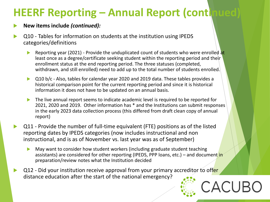#### **New items include** *(continued):*

- Q10 Tables for information on students at the institution using IPEDS categories/definitions
	- Reporting year (2021) Provide the unduplicated count of students who were enrolled at least once as a degree/certificate seeking student within the reporting period and their enrollment status at the end reporting period. The three statuses (completed, withdrawn, and still enrolled) need to add up to the total number of students enrolled.
	- ▶ Q10 b/c Also, tables for calendar year 2020 and 2019 data. These tables provides a historical comparison point for the current reporting period and since it is historical information it does not have to be updated on an annual basis.
	- The live annual report seems to indicate academic level is required to be reported for 2021, 2020 and 2019. Other information has \* and the Institutions can submit responses in the early 2023 data collection process (this differed from draft clean copy of annual report)
- Q11 Provide the number of full-time equivalent (FTE) positions as of the listed reporting dates by IPEDS categories (now includes instructional and non instructional, and is as of November vs. last year was as of September)
	- May want to consider how student workers (including graduate student teaching assistants) are considered for other reporting (IPEDS, PPP loans, etc.) – and document in preparation/review notes what the Institution decided
- Q12 Did your institution receive approval from your primary accreditor to offer distance education after the start of the national emergency?

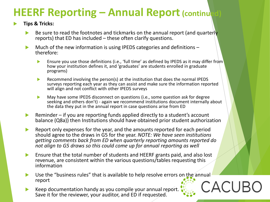#### **Tips & Tricks:**

- Be sure to read the footnotes and tickmarks on the annual report (and quarterly reports) that ED has included – these often clarify questions.
- Much of the new information is using IPEDS categories and definitions –<br>therefore:
	- Ensure you use those definitions (i.e., 'full time' as defined by IPEDS as it may differ from how your institution defines it, and 'graduates' are students enrolled in graduate programs)
	- Recommend involving the person(s) at the institution that does the normal IPEDS surveys reporting each year as they can assist and make sure the information reported will align and not conflict with other IPEDS surveys
	- May have some IPEDS disconnect on questions (i.e., some question ask for degree seeking and others don't) - again we recommend institutions document internally about the data they put in the annual report in case questions arise from ED
- $\triangleright$  Reminder if you are reporting funds applied directly to a student's account balance (Q8a)) then Institutions should have obtained prior student authorization
- Report only expenses for the year, and the amounts reported for each period should agree to the draws in G5 for the year. *NOTE: We have seen institutions getting comments back from ED when quarterly reporting amounts reported do not align to G5 draws so this could come up for annual reporting as well*
- Ensure that the total number of students and HEERF grants paid, and also lost revenue, are consistent within the various questions/tables requesting this information
- Use the "business rules" that is available to help resolve errors on the annual report CACUB
- Keep documentation handy as you compile your annual report. Save it for the reviewer, your auditor, and ED if requested.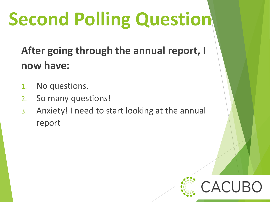# **Second Polling Question**

**After going through the annual report, I now have:**

- 1. No questions.
- 2. So many questions!
- 3. Anxiety! I need to start looking at the annual report

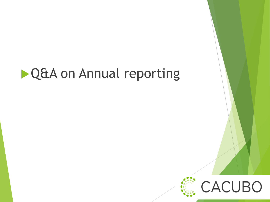### **DQ&A on Annual reporting**

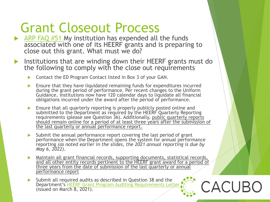### Grant Closeout Process

- $\triangleright$  [ARP FAQ #51](https://www2.ed.gov/about/offices/list/ope/arpfaq.pdf?utm_content=) My institution has expended all the funds associated with one of its HEERF grants and is preparing to close out this grant. What must we do?
- Institutions that are winding down their HEERF grants must do the following to comply with the close out requirements
	- ▶ Contact the ED Program Contact listed in Box 3 of your GAN.
	- Ensure that they have liquidated remaining funds for expenditures incurred during the grant period of performance. Per recent changes to the Uniform Guidance, institutions now have 120 calendar days to liquidate all financial obligations incurred under the award after the period of performance.
	- **Ensure that all quarterly reporting is properly publicly posted online and** submitted to the Department as required by the HEERF Quarterly Reporting requirements (please see Question 36). Additionally, public quarterly reports should remain online for a period of at least three years after the submission of the last quarterly or annual performance report.
	- $\triangleright$  Submit the annual performance report covering the last period of grant performance when the Department opens the system for annual performance reporting *(as noted earlier in the slides, the 2021 annual reporting is due by May 6, 2022)*.
	- Maintain all grant financial records, supporting documents, statistical records, and all other entity records pertinent to the HEERF grant award for a period of three years from the date of submission of the last quarterly or annual performance report

CACUBC

 Submit all required audits as described in Question 38 and the Department's [HEERF Grant Program Auditing Requirements Letter](https://www2.ed.gov/about/offices/list/ope/heerfauditletter.pdf) (issued on March 8, 2021).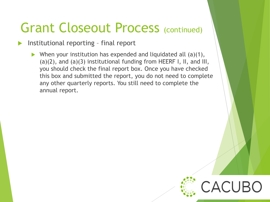### Grant Closeout Process (continued)

- Institutional reporting final report
	- When your institution has expended and liquidated all  $(a)(1)$ , (a)(2), and (a)(3) institutional funding from HEERF I, II, and III, you should check the final report box. Once you have checked this box and submitted the report, you do not need to complete any other quarterly reports. You still need to complete the annual report.

ACUBO: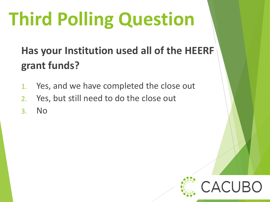# **Third Polling Question**

### **Has your Institution used all of the HEERF grant funds?**

- 1. Yes, and we have completed the close out
- 2. Yes, but still need to do the close out
- 3. No

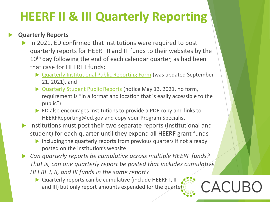#### **Quarterly Reports**

- In 2021, ED confirmed that institutions were required to post quarterly reports for HEERF II and III funds to their websites by the 10<sup>th</sup> day following the end of each calendar quarter, as had been that case for HEERF I funds:
	- ▶ [Quarterly Institutional Public Reporting Form](https://www2.ed.gov/about/offices/list/ope/opeidheerfq32021101021.pdf) (was updated September 21, 2021), and
	- ▶ [Quarterly Student Public Reports](https://www.federalregister.gov/documents/2021/05/13/2021-10196/notice-of-public-posting-requirement-of-grant-information-for-higher-education-emergency-relief-fund) (notice May 13, 2021, no form, requirement is "in a format and location that is easily accessible to the public")
	- ED also encourages Institutions to provide a PDF copy and links to HEERFReporting@ed.gov and copy your Program Specialist.
- Institutions must post their two separate reports (institutional and student) for each quarter until they expend all HEERF grant funds
	- $\triangleright$  including the quarterly reports from previous quarters if not already posted on the institution's website
- *Can quarterly reports be cumulative across multiple HEERF funds? That is, can one quarterly report be posted that includes cumulative HEERF I, II, and III funds in the same report?*

CACUBO

▶ Quarterly reports can be cumulative (include HEERF I, II and III) but only report amounts expended for the quarter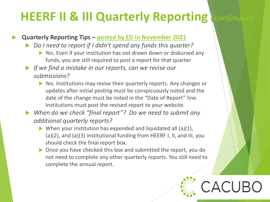#### **Quarterly Reporting Tips – [posted by ED in November 2021](https://www2.ed.gov/about/offices/list/ope/heerfreportingtips.pdf)**

- *Do I need to report if I didn't spend any funds this quarter?*
	- ▶ Yes. Even if your institution has not drawn down or disbursed any funds, you are still required to post a report for that quarter
- *If we find a mistake in our reports, can we revise our submissions?*
	- ▶ Yes. Institutions may revise their quarterly reports. Any changes or updates after initial posting must be conspicuously noted and the date of the change must be noted in the "Date of Report" line. Institutions must post the revised report to your website.
- *When do we check "final report"? Do we need to submit any additional quarterly reports?*
	- $\triangleright$  When your institution has expended and liquidated all (a)(1), (a)(2), and (a)(3) institutional funding from HEERF I, II, and III, you should check the final report box.
	- ▶ Once you have checked this box and submitted the report, you do not need to complete any other quarterly reports. You still need to complete the annual report.

ACUF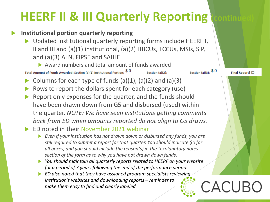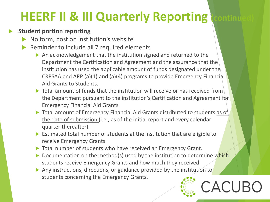#### **Student portion reporting**

- No form, post on institution's website
- Reminder to include all 7 required elements
	- An acknowledgement that the institution signed and returned to the Department the Certification and Agreement and the assurance that the institution has used the applicable amount of funds designated under the CRRSAA and ARP (a)(1) and (a)(4) programs to provide Emergency Financial Aid Grants to Students.
	- $\triangleright$  Total amount of funds that the institution will receive or has received from the Department pursuant to the institution's Certification and Agreement for Emergency Financial Aid Grants
	- ▶ Total amount of Emergency Financial Aid Grants distributed to students as of the date of submission (i.e., as of the initial report and every calendar quarter thereafter).
	- Estimated total number of students at the institution that are eligible to receive Emergency Grants.
	- Total number of students who have received an Emergency Grant.
	- $\triangleright$  Documentation on the method(s) used by the institution to determine which students receive Emergency Grants and how much they received.

CACUR

Any instructions, directions, or guidance provided by the institution to students concerning the Emergency Grants.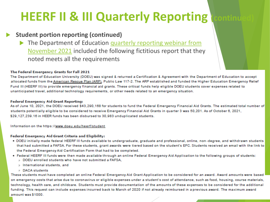#### **Student portion reporting (continued)**

The Department of Education quarterly reporting webinar from November 2021 included the following fictitious report that they noted meets all the requirements

#### The Federal Emergency Grants for Fall 2021

The Department of Education University (DOEU) was signed & returned a Certification & Agreement with the Department of Education to accept allocated funds from the American Rescue Plan (ARP), Public Law 117-2. The ARP established and funded the Higher Education Emergency Relief Fund III (HEERF III) to provide emergency financial aid grants. These critical funds help eligible DOEU students cover expenses related to unanticipated travel, additional technology requirements, or other needs related to an emergency situation.

#### **Federal Emergency Aid Grant Reporting:**

As of June 10, 2021, the DOEU received \$43,290,168 for students to fund the Federal Emergency Financial Aid Grants. The estimated total number of students potentially eligible to be considered to receive Emergency Financial Aid Grants in quarter 3 was 50,201. As of October 6, 2021, \$29.127.239.16 in HEER funds has been disbursed to 30.983 unduplicated students.

Information on the https://www.doeu.edu/heerf/student

#### Federal Emergency Aid Grant Criteria and Eligibility:

- . DOEU initially made federal HEERF III funds available to undergraduate, graduate and professional, online, non-degree, and withdrawn students that had submitted a FAFSA. For these students, grant awards were tiered based on the student's EFC. Students received an email with the link to the Federal Emergency Aid Certification Form that had to be completed.
- . Federal HEERF III funds were then made available through an online Federal Emergency Aid Application to the following groups of students:
	- **DOEU** enrolled students who have not submitted a FAFSA.
	- o International students, and
	- **DACA** students

These students must have completed an online Federal Emergency Aid Grant Application to be considered for an award. Award amounts were based on emergency costs that arise due to coronavirus or eligible expenses under a student's cost of attendance, such as food, housing, course materials, technology, health care, and childcare. Students must provide documentation of the amounts of these expenses to be considered for the additional funding. This request can include expenses incurred back to March of 2020 if not already reimbursed in a previous award. The maximum award amount was \$1000.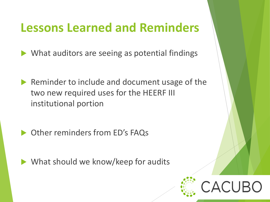### **Lessons Learned and Reminders**

What auditors are seeing as potential findings

- Reminder to include and document usage of the two new required uses for the HEERF III institutional portion
- ▶ Other reminders from ED's FAQs

What should we know/keep for audits

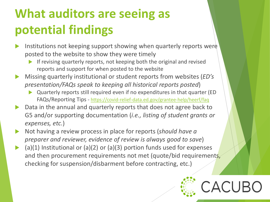### **What auditors are seeing as potential findings**

- Institutions not keeping support showing when quarterly reports were posted to the website to show they were timely
	- If revising quarterly reports, not keeping both the original and revised reports and support for when posted to the website
- Missing quarterly institutional or student reports from websites (*ED's presentation/FAQs speak to keeping all historical reports posted*)
	- Quarterly reports still required even if no expenditures in that quarter (ED FAQs/Reporting Tips - <https://covid-relief-data.ed.gov/grantee-help/heerf/faq>
- ▶ Data in the annual and quarterly reports that does not agree back to G5 and/or supporting documentation (*i.e., listing of student grants or expenses, etc.*)
- Not having a review process in place for reports (*should have a preparer and reviewer, evidence of review is always good to save*)
- (a)(1) Institutional or (a)(2) or (a)(3) portion funds used for expenses and then procurement requirements not met (quote/bid requirements, checking for suspension/disbarment before contracting, etc.)

:ACUBC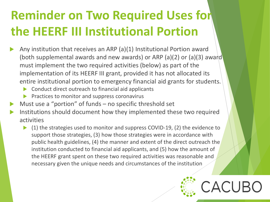### **Reminder on Two Required Uses for the HEERF III Institutional Portion**

- Any institution that receives an ARP (a)(1) Institutional Portion award (both supplemental awards and new awards) or ARP (a)(2) or (a)(3) award must implement the two required activities (below) as part of the implementation of its HEERF III grant, provided it has not allocated its entire institutional portion to emergency financial aid grants for students.
	- **Conduct direct outreach to financial aid applicants**
	- $\blacktriangleright$  Practices to monitor and suppress coronavirus
- Must use a "portion" of funds no specific threshold set
- Institutions should document how they implemented these two required activities
	- ▶ (1) the strategies used to monitor and suppress COVID-19, (2) the evidence to support those strategies, (3) how those strategies were in accordance with public health guidelines, (4) the manner and extent of the direct outreach the institution conducted to financial aid applicants, and (5) how the amount of the HEERF grant spent on these two required activities was reasonable and necessary given the unique needs and circumstances of the institution

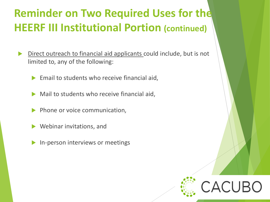### **Reminder on Two Required Uses for the HEERF III Institutional Portion (continued)**

- Direct outreach to financial aid applicants could include, but is not limited to, any of the following:
	- Email to students who receive financial aid,
	- Mail to students who receive financial aid,
	- Phone or voice communication,
	- Webinar invitations, and
	- In-person interviews or meetings

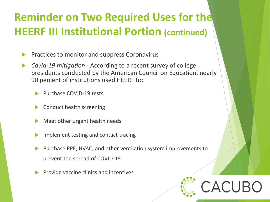### **Reminder on Two Required Uses for the HEERF III Institutional Portion (continued)**

- Practices to monitor and suppress Coronavirus
- *Covid-19 mitigation -* According to a recent survey of college presidents conducted by the American Council on Education, nearly 90 percent of institutions used HEERF to:
	- Purchase COVID-19 tests
	- Conduct health screening
	- Meet other urgent health needs
	- Implement testing and contact tracing
	- Purchase PPE, HVAC, and other ventilation system improvements to prevent the spread of COVID-19
	- Provide vaccine clinics and incentives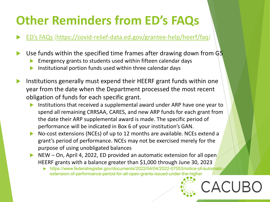### **Other Reminders from ED's FAQs**

[ED's FAQs](https://www2.ed.gov/about/offices/list/ope/arpfaq.pdf?utm_content=) [\(https://covid-relief-data.ed.gov/grantee-help/heerf/faq\)](https://covid-relief-data.ed.gov/grantee-help/heerf/faq)

- Use funds within the specified time frames after drawing down from G5
	- Emergency grants to students used within fifteen calendar days
	- Institutional portion funds used within three calendar days
- Institutions generally must expend their HEERF grant funds within one year from the date when the Department processed the most recent obligation of funds for each specific grant.
	- Institutions that received a supplemental award under ARP have one year to spend all remaining CRRSAA, CARES, and new ARP funds for each grant from the date their ARP supplemental award is made. The specific period of performance will be indicated in Box 6 of your institution's GAN.
	- ▶ No-cost extensions (NCEs) of up to 12 months are available. NCEs extend a grant's period of performance. NCEs may not be exercised merely for the purpose of using unobligated balances
	- NEW On, April 4, 2022, ED provided an automatic extension for all open HEERF grants with a balance greater than \$1,000 through June 30, 2023
		- https://www.federalregister.gov/documents/2022/04/04/2022-07053/notice-of-automaticextension-of-performance-period-for-all-open-grants-issued-under-the-higher

ACUBO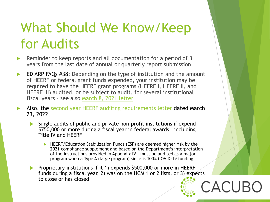### What Should We Know/Keep for Audits

- Reminder to keep reports and all documentation for a period of 3 years from the last date of annual or quarterly report submission
- ED ARP FAQs #38: Depending on the type of institution and the amount of HEERF or federal grant funds expended, your institution may be required to have the HEERF grant programs (HEERF I, HEERF II, and HEERF III) audited, or be subject to audit, for several institutional fiscal years – see also [March 8, 2021 letter](https://www2.ed.gov/about/offices/list/ope/heerfauditletter.pdf)

 Also, the [second year HEERF auditing requirements letter](https://www2.ed.gov/about/offices/list/ope/heerfauditletteryear2.pdf) dated March 23, 2022

- Single audits of public and private non-profit institutions if expend \$750,000 or more during a fiscal year in federal awards – including Title IV and HEERF
	- ▶ HEERF/Education Stabilization Funds (ESF) are deemed higher risk by the 2021 compliance supplement and based on the Department's interpretation of the instructions provided in Appendix IV – must be audited as a major program when a Type A (large program) since is 100% COVID-19 funding.
- Proprietary institutions if it 1) expends \$500,000 or more in HEERF funds during a fiscal year, 2) was on the HCM 1 or 2 lists, or 3) expects to close or has closed CACUI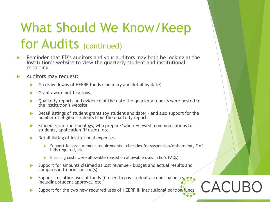### What Should We Know/Keep for Audits (continued)

- Reminder that ED's auditors and your auditors may both be looking at the Institution's website to view the quarterly student and institutional reporting
- Auditors may request:
	- G5 draw downs of HEERF funds (summary and detail by date)
	- Grant award notifications
	- ▶ Quarterly reports and evidence of the date the quarterly reports were posted to the Institution's website
	- ▶ Detail listings of student grants (by student and date) and also support for the number of eligible students from the quarterly reports
	- Student grant methodology, who prepare/who reviewed, communications to students, application (if used), etc.
	- **Detail listing of institutional expenses** 
		- Support for procurement requirements checking for suspension/disbarment, # of bids required, etc.

**CACUB** 

- **Ensuring costs were allowable (based on allowable uses in Ed's FAQs)**
- Support for amounts claimed as lost revenue budget and actual results and comparison to prior period(s)
- Support for other uses of funds (if used to pay student account balances. including student approval, etc.)
- Support for the two new required uses of HEERF III institutional portion funds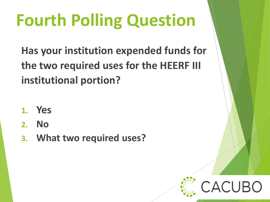# **Fourth Polling Question**

**Has your institution expended funds for the two required uses for the HEERF III institutional portion?**

- **1. Yes**
- **2. No**
- **3. What two required uses?**